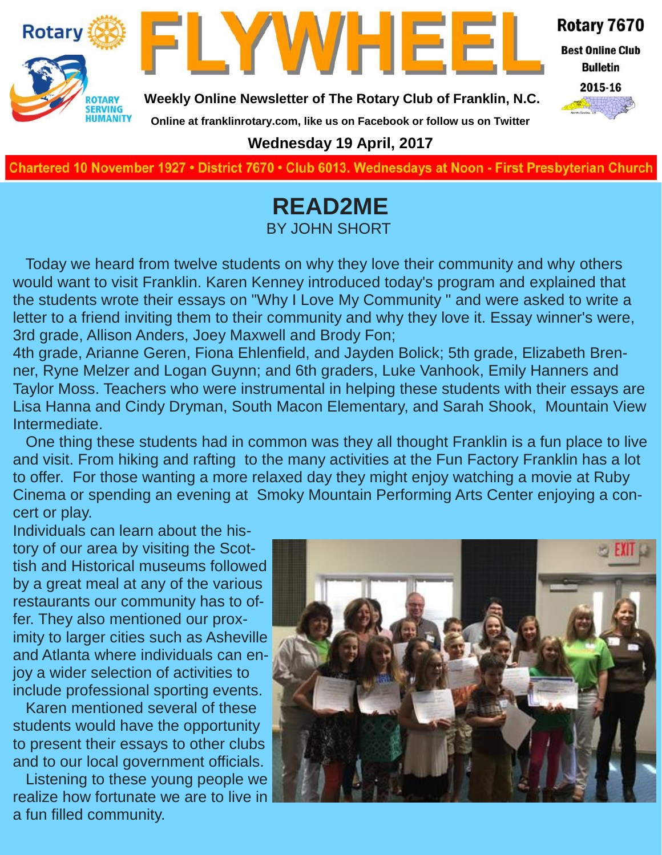



Rotary 7670

**Best Online Club Bulletin** 

**Weekly Online Newsletter of The Rotary Club of Franklin, N.C.**

2015-16

### **Wednesday 19 April, 2017**

**Online at franklinrotary.com, like us on Facebook or follow us on Twitter**

**Charted November 29, 1927 • District 7670 • Club 6013 Wednesdays at Noon - First Presbyterian Church**

### **READ2ME** BY JOHN SHORT

Today we heard from twelve students on why they love their community and why others would want to visit Franklin. Karen Kenney introduced today's program and explained that the students wrote their essays on "Why I Love My Community " and were asked to write a letter to a friend inviting them to their community and why they love it. Essay winner's were, 3rd grade, Allison Anders, Joey Maxwell and Brody Fon;

4th grade, Arianne Geren, Fiona Ehlenfield, and Jayden Bolick; 5th grade, Elizabeth Brenner, Ryne Melzer and Logan Guynn; and 6th graders, Luke Vanhook, Emily Hanners and Taylor Moss. Teachers who were instrumental in helping these students with their essays are Lisa Hanna and Cindy Dryman, South Macon Elementary, and Sarah Shook, Mountain View Intermediate.

One thing these students had in common was they all thought Franklin is a fun place to live and visit. From hiking and rafting to the many activities at the Fun Factory Franklin has a lot to offer. For those wanting a more relaxed day they might enjoy watching a movie at Ruby Cinema or spending an evening at Smoky Mountain Performing Arts Center enjoying a concert or play.

Individuals can learn about the history of our area by visiting the Scottish and Historical museums followed by a great meal at any of the various restaurants our community has to offer. They also mentioned our proximity to larger cities such as Asheville and Atlanta where individuals can enjoy a wider selection of activities to include professional sporting events.

Karen mentioned several of these students would have the opportunity to present their essays to other clubs and to our local government officials.

Listening to these young people we realize how fortunate we are to live in a fun filled community.

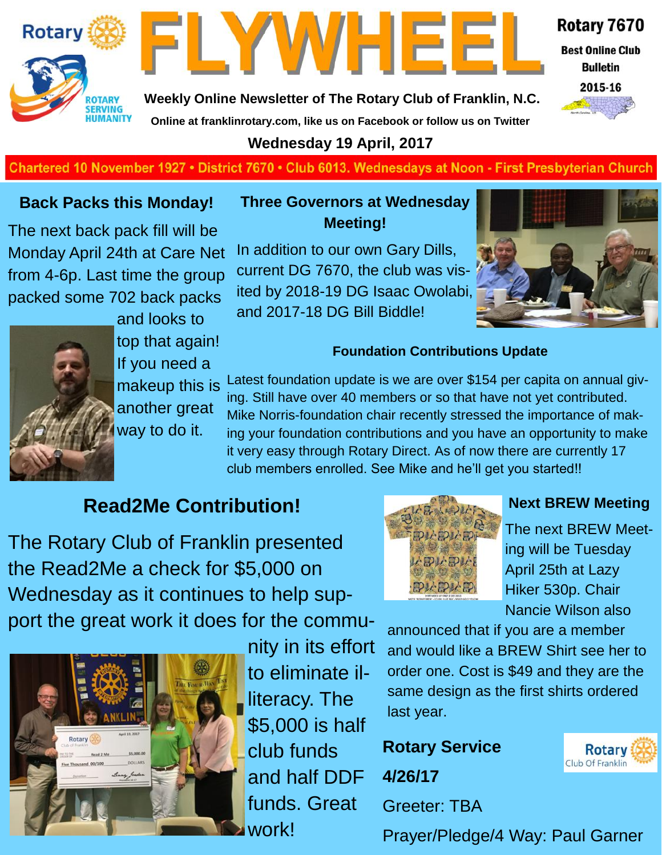



Rotary 7670

**Best Online Club Bulletin** 



**Weekly Online Newsletter of The Rotary Club of Franklin, N.C. Online at franklinrotary.com, like us on Facebook or follow us on Twitter**

### **Wednesday 19 April, 2017**

### **Charted November 29, 1927 • District 7670 • Club 6013 Wednesdays at Noon - First Presbyterian Church**

### **Back Packs this Monday!**

The next back pack fill will be Monday April 24th at Care Net from 4-6p. Last time the group packed some 702 back packs



and looks to top that again! If you need a makeup this is another great way to do it.

**Three Governors at Wednesday Meeting!**

In addition to our own Gary Dills, current DG 7670, the club was visited by 2018-19 DG Isaac Owolabi, and 2017-18 DG Bill Biddle!



### **Foundation Contributions Update**

Latest foundation update is we are over \$154 per capita on annual giving. Still have over 40 members or so that have not yet contributed. Mike Norris-foundation chair recently stressed the importance of making your foundation contributions and you have an opportunity to make it very easy through Rotary Direct. As of now there are currently 17 club members enrolled. See Mike and he'll get you started!!

### **Read2Me Contribution!**

The Rotary Club of Franklin presented the Read2Me a check for \$5,000 on Wednesday as it continues to help support the great work it does for the commu-



nity in its effort to eliminate illiteracy. The \$5,000 is half club funds and half DDF funds. Great work!



### **Next BREW Meeting**

The next BREW Meeting will be Tuesday April 25th at Lazy Hiker 530p. Chair Nancie Wilson also

announced that if you are a member and would like a BREW Shirt see her to order one. Cost is \$49 and they are the same design as the first shirts ordered last year.

**Rotary Service 4/26/17** Greeter: TBA



Prayer/Pledge/4 Way: Paul Garner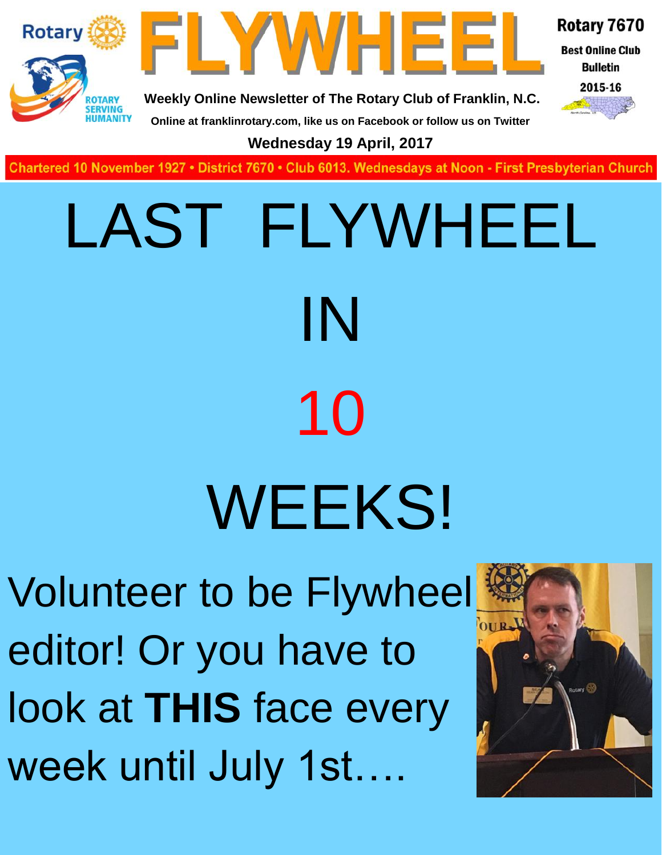



Rotary 7670

**Best Online Club Bulletin** 

2015-16

**Weekly Online Newsletter of The Rotary Club of Franklin, N.C. Online at franklinrotary.com, like us on Facebook or follow us on Twitter**

**Wednesday 19 April, 2017**

**Charted November 29, 1927 • District 7670 • Club 6013 Wednesdays at Noon - First Presbyterian Church**

# LAST FLYWHEEL IN 10 **WEEKS!**

Volunteer to be Flywheel editor! Or you have to look at **THIS** face every week until July 1st….

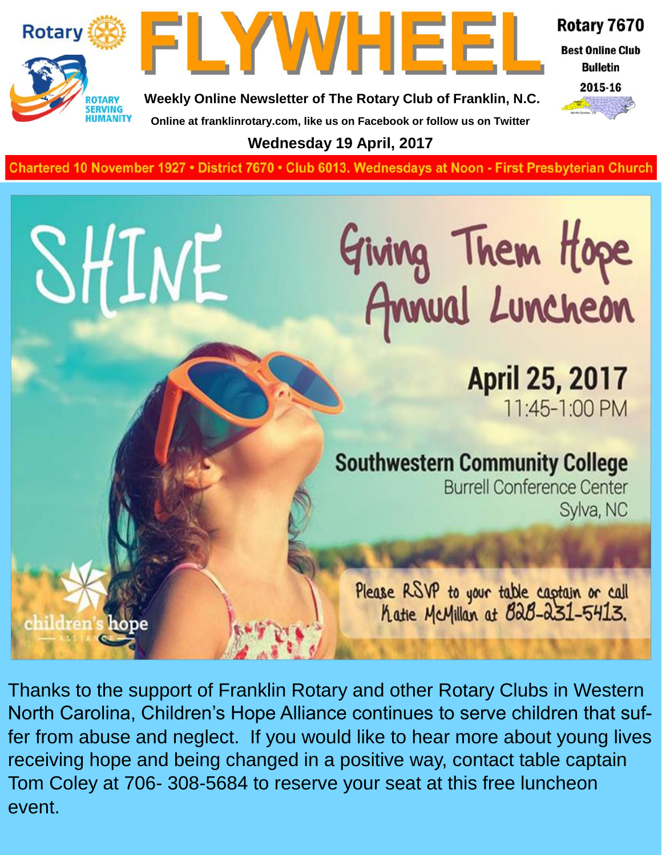

SHINE

children's hope



Rotary 7670

**Best Online Club Bulletin** 



**Weekly Online Newsletter of The Rotary Club of Franklin, N.C. Online at franklinrotary.com, like us on Facebook or follow us on Twitter**

**Wednesday 19 April, 2017**

**Charted November 29, 1927 • District 7670 • Club 6013 Wednesdays at Noon - First Presbyterian Church**

# Giving Them Hope<br>Annual Luncheon

**April 25, 2017** 11:45-1:00 PM

### **Southwestern Community College**

**Burrell Conference Center** Sylva, NC

Please RSVP to your table captain or call<br>hatie McMillan at B2B-231-5413.

Thanks to the support of Franklin Rotary and other Rotary Clubs in Western North Carolina, Children's Hope Alliance continues to serve children that suffer from abuse and neglect. If you would like to hear more about young lives receiving hope and being changed in a positive way, contact table captain Tom Coley at 706- 308-5684 to reserve your seat at this free luncheon event.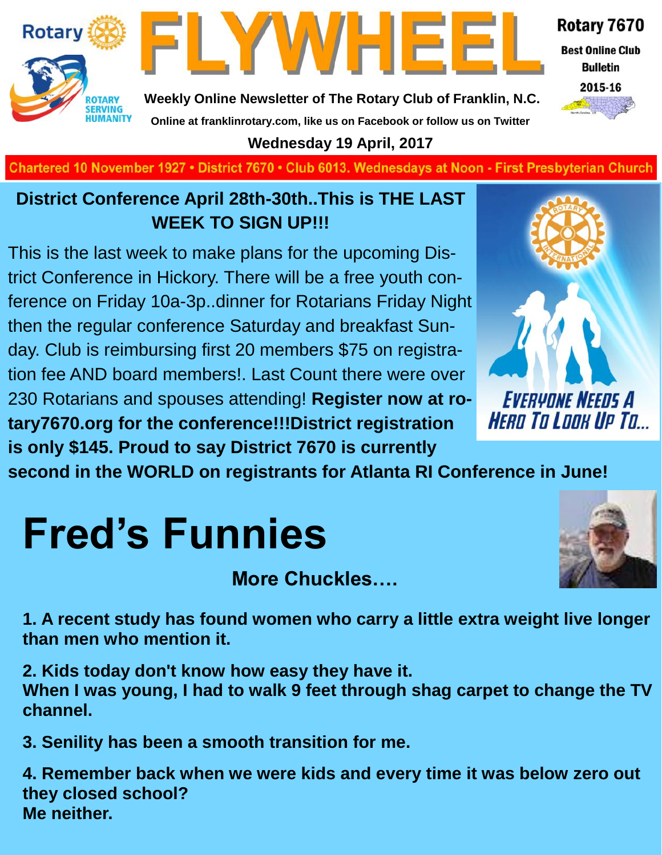

FLYWHEEI

**Best Online Club Bulletin** 



Rotary 7670

**Weekly Online Newsletter of The Rotary Club of Franklin, N.C. Online at franklinrotary.com, like us on Facebook or follow us on Twitter**

**Wednesday 19 April, 2017**

**Charted November 29, 1927 • District 7670 • Club 6013 Wednesdays at Noon - First Presbyterian Church**

### **District Conference April 28th-30th..This is THE LAST WEEK TO SIGN UP!!!**

This is the last week to make plans for the upcoming District Conference in Hickory. There will be a free youth conference on Friday 10a-3p..dinner for Rotarians Friday Night then the regular conference Saturday and breakfast Sunday. Club is reimbursing first 20 members \$75 on registration fee AND board members!. Last Count there were over 230 Rotarians and spouses attending! **Register now at rotary7670.org for the conference!!!District registration is only \$145. Proud to say District 7670 is currently** 

**second in the WORLD on registrants for Atlanta RI Conference in June!**

# **Fred's Funnies**

**More Chuckles….**



**1. A recent study has found women who carry a little extra weight live longer than men who mention it.**

**2. Kids today don't know how easy they have it. When I was young, I had to walk 9 feet through shag carpet to change the TV channel.**

**3. Senility has been a smooth transition for me.**

**4. Remember back when we were kids and every time it was below zero out they closed school? Me neither.**